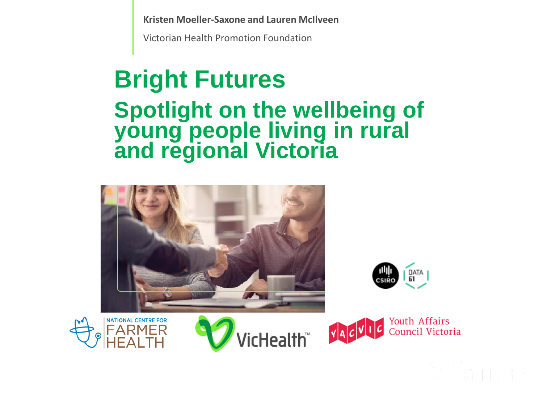**Kristen Moeller-Saxone and Lauren McIlveen**

Victorian Health Promotion Foundation

# **Bright Futures**

#### **Spotlight on the wellbeing of young people living in rural and regional Victoria**











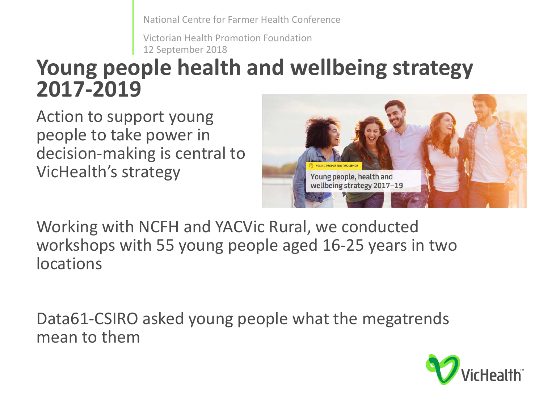National Centre for Farmer Health Conference

Victorian Health Promotion Foundation 12 September 2018

### **Young people health and wellbeing strategy 2017-2019**

Action to support young people to take power in decision-making is central to VicHealth's strategy



Working with NCFH and YACVic Rural, we conducted workshops with 55 young people aged 16-25 years in two locations

Data61-CSIRO asked young people what the megatrends mean to them

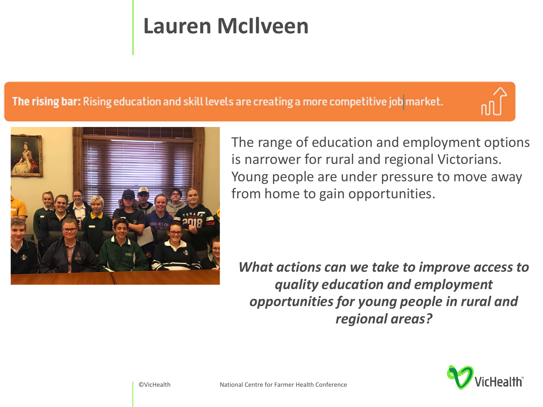## **Lauren McIlveen**

The rising bar: Rising education and skill levels are creating a more competitive job market.



The range of education and employment options is narrower for rural and regional Victorians. Young people are under pressure to move away from home to gain opportunities.

*What actions can we take to improve access to quality education and employment opportunities for young people in rural and regional areas?*

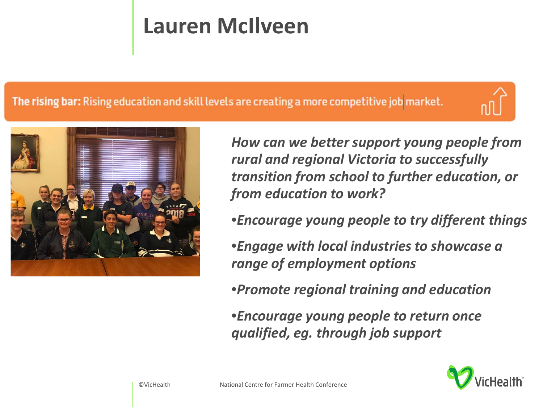## **Lauren McIlveen**

#### The rising bar: Rising education and skill levels are creating a more competitive job market.





*How can we better support young people from rural and regional Victoria to successfully transition from school to further education, or from education to work?*

•*Encourage young people to try different things*

•*Engage with local industries to showcase a range of employment options*

•*Promote regional training and education* 

•*Encourage young people to return once qualified, eg. through job support* 

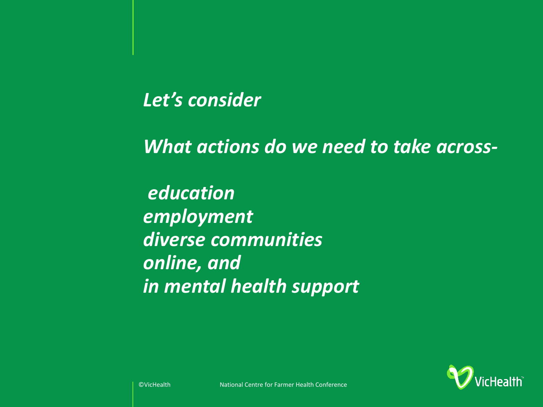#### *Let's consider*

*What actions do we need to take across-*

*education employment diverse communities online, and in mental health support*